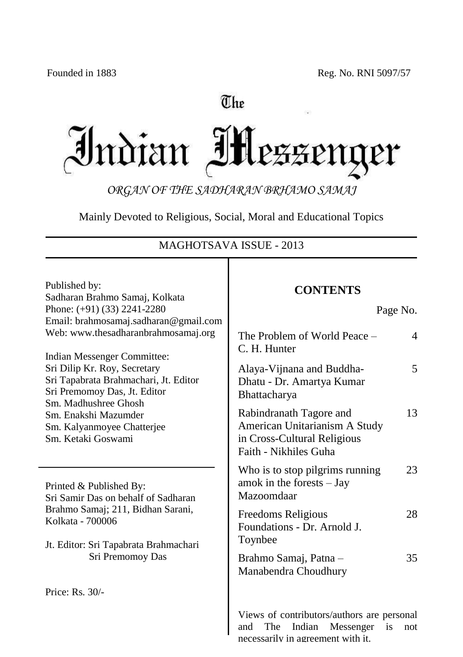## The

Indian IHezzenger

*ORGAN OF THE SADHARAN BRHAMO SAMAJ*

Mainly Devoted to Religious, Social, Moral and Educational Topics

### MAGHOTSAVA ISSUE - 2013 Т

| Published by:<br>Sadharan Brahmo Samaj, Kolkata<br>Phone: (+91) (33) 2241-2280<br>Email: brahmosamaj.sadharan@gmail.com<br>Web: www.thesadharanbrahmosamaj.org<br>Indian Messenger Committee:<br>Sri Dilip Kr. Roy, Secretary<br>Sri Tapabrata Brahmachari, Jt. Editor<br>Sri Premomoy Das, Jt. Editor<br>Sm. Madhushree Ghosh<br>Sm. Enakshi Mazumder<br>Sm. Kalyanmoyee Chatterjee<br>Sm. Ketaki Goswami | <b>CONTENTS</b><br>Page No.                                                                                            |
|------------------------------------------------------------------------------------------------------------------------------------------------------------------------------------------------------------------------------------------------------------------------------------------------------------------------------------------------------------------------------------------------------------|------------------------------------------------------------------------------------------------------------------------|
|                                                                                                                                                                                                                                                                                                                                                                                                            | The Problem of World Peace -<br>4<br>C. H. Hunter                                                                      |
|                                                                                                                                                                                                                                                                                                                                                                                                            | 5<br>Alaya-Vijnana and Buddha-<br>Dhatu - Dr. Amartya Kumar<br>Bhattacharya                                            |
|                                                                                                                                                                                                                                                                                                                                                                                                            | 13<br>Rabindranath Tagore and<br>American Unitarianism A Study<br>in Cross-Cultural Religious<br>Faith - Nikhiles Guha |
| Printed & Published By:<br>Sri Samir Das on behalf of Sadharan<br>Brahmo Samaj; 211, Bidhan Sarani,<br>Kolkata - 700006<br>Jt. Editor: Sri Tapabrata Brahmachari<br>Sri Premomoy Das                                                                                                                                                                                                                       | 23<br>Who is to stop pilgrims running<br>amok in the forests $-$ Jay<br>Mazoomdaar                                     |
|                                                                                                                                                                                                                                                                                                                                                                                                            | 28<br>Freedoms Religious<br>Foundations - Dr. Arnold J.<br>Toynbee                                                     |
|                                                                                                                                                                                                                                                                                                                                                                                                            | 35<br>Brahmo Samaj, Patna -<br>Manabendra Choudhury                                                                    |
| Price: Rs. 30/-                                                                                                                                                                                                                                                                                                                                                                                            |                                                                                                                        |
|                                                                                                                                                                                                                                                                                                                                                                                                            | Views of contributors/authors are personal<br>Indian<br>Messenger<br>The<br>and<br>is<br>not                           |

necessarily in agreement with it.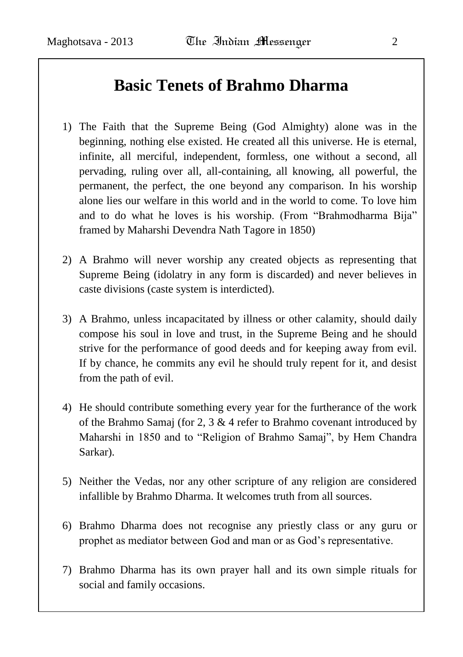### **Basic Tenets of Brahmo Dharma**

- 1) The Faith that the Supreme Being (God Almighty) alone was in the beginning, nothing else existed. He created all this universe. He is eternal, infinite, all merciful, independent, formless, one without a second, all pervading, ruling over all, all-containing, all knowing, all powerful, the permanent, the perfect, the one beyond any comparison. In his worship alone lies our welfare in this world and in the world to come. To love him and to do what he loves is his worship. (From "Brahmodharma Bija" framed by Maharshi Devendra Nath Tagore in 1850)
- 2) A Brahmo will never worship any created objects as representing that Supreme Being (idolatry in any form is discarded) and never believes in caste divisions (caste system is interdicted).
- 3) A Brahmo, unless incapacitated by illness or other calamity, should daily compose his soul in love and trust, in the Supreme Being and he should strive for the performance of good deeds and for keeping away from evil. If by chance, he commits any evil he should truly repent for it, and desist from the path of evil.
- 4) He should contribute something every year for the furtherance of the work of the Brahmo Samaj (for 2, 3 & 4 refer to Brahmo covenant introduced by Maharshi in 1850 and to "Religion of Brahmo Samaj", by Hem Chandra Sarkar).
- 5) Neither the Vedas, nor any other scripture of any religion are considered infallible by Brahmo Dharma. It welcomes truth from all sources.
- 6) Brahmo Dharma does not recognise any priestly class or any guru or prophet as mediator between God and man or as God"s representative.
- 7) Brahmo Dharma has its own prayer hall and its own simple rituals for social and family occasions.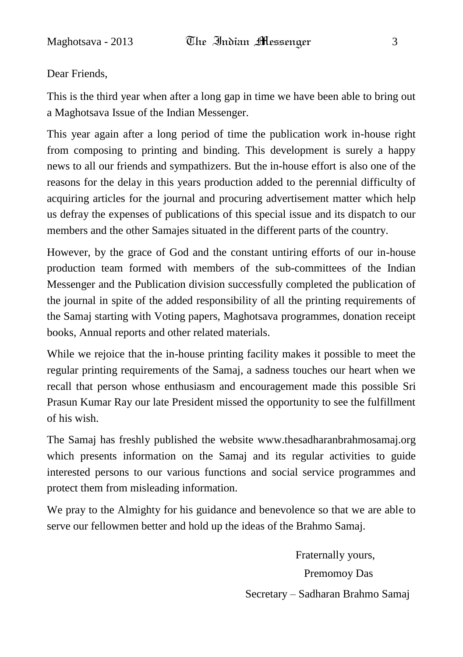Dear Friends,

This is the third year when after a long gap in time we have been able to bring out a Maghotsava Issue of the Indian Messenger.

This year again after a long period of time the publication work in-house right from composing to printing and binding. This development is surely a happy news to all our friends and sympathizers. But the in-house effort is also one of the reasons for the delay in this years production added to the perennial difficulty of acquiring articles for the journal and procuring advertisement matter which help us defray the expenses of publications of this special issue and its dispatch to our members and the other Samajes situated in the different parts of the country.

However, by the grace of God and the constant untiring efforts of our in-house production team formed with members of the sub-committees of the Indian Messenger and the Publication division successfully completed the publication of the journal in spite of the added responsibility of all the printing requirements of the Samaj starting with Voting papers, Maghotsava programmes, donation receipt books, Annual reports and other related materials.

While we rejoice that the in-house printing facility makes it possible to meet the regular printing requirements of the Samaj, a sadness touches our heart when we recall that person whose enthusiasm and encouragement made this possible Sri Prasun Kumar Ray our late President missed the opportunity to see the fulfillment of his wish.

The Samaj has freshly published the website www.thesadharanbrahmosamaj.org which presents information on the Samaj and its regular activities to guide interested persons to our various functions and social service programmes and protect them from misleading information.

We pray to the Almighty for his guidance and benevolence so that we are able to serve our fellowmen better and hold up the ideas of the Brahmo Samaj.

> Fraternally yours, Premomoy Das Secretary – Sadharan Brahmo Samaj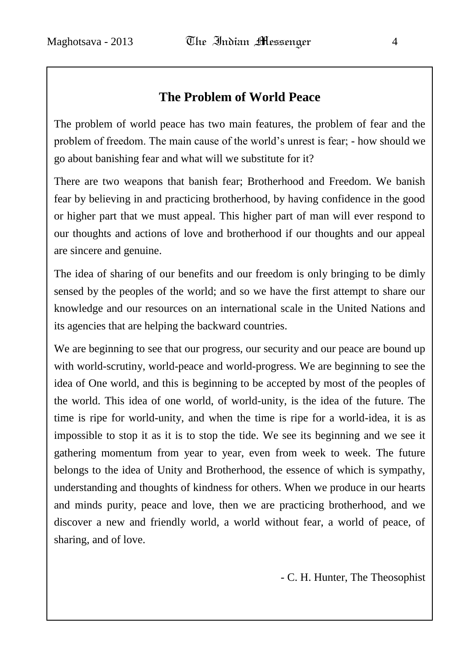### **The Problem of World Peace**

The problem of world peace has two main features, the problem of fear and the problem of freedom. The main cause of the world"s unrest is fear; - how should we go about banishing fear and what will we substitute for it?

There are two weapons that banish fear; Brotherhood and Freedom. We banish fear by believing in and practicing brotherhood, by having confidence in the good or higher part that we must appeal. This higher part of man will ever respond to our thoughts and actions of love and brotherhood if our thoughts and our appeal are sincere and genuine.

The idea of sharing of our benefits and our freedom is only bringing to be dimly sensed by the peoples of the world; and so we have the first attempt to share our knowledge and our resources on an international scale in the United Nations and its agencies that are helping the backward countries.

We are beginning to see that our progress, our security and our peace are bound up with world-scrutiny, world-peace and world-progress. We are beginning to see the idea of One world, and this is beginning to be accepted by most of the peoples of the world. This idea of one world, of world-unity, is the idea of the future. The time is ripe for world-unity, and when the time is ripe for a world-idea, it is as impossible to stop it as it is to stop the tide. We see its beginning and we see it gathering momentum from year to year, even from week to week. The future belongs to the idea of Unity and Brotherhood, the essence of which is sympathy, understanding and thoughts of kindness for others. When we produce in our hearts and minds purity, peace and love, then we are practicing brotherhood, and we discover a new and friendly world, a world without fear, a world of peace, of sharing, and of love.

- C. H. Hunter, The Theosophist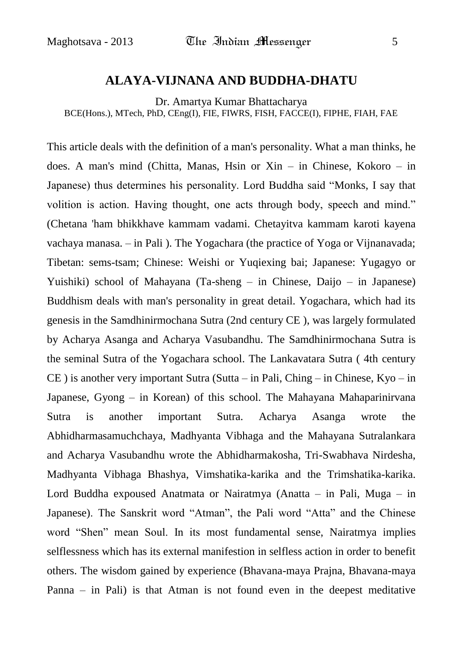#### **ALAYA-VIJNANA AND BUDDHA-DHATU**

Dr. Amartya Kumar Bhattacharya BCE(Hons.), MTech, PhD, CEng(I), FIE, FIWRS, FISH, FACCE(I), FIPHE, FIAH, FAE

This article deals with the definition of a man's personality. What a man thinks, he does. A man's mind (Chitta, Manas, Hsin or Xin – in Chinese, Kokoro – in Japanese) thus determines his personality. Lord Buddha said "Monks, I say that volition is action. Having thought, one acts through body, speech and mind." (Chetana 'ham bhikkhave kammam vadami. Chetayitva kammam karoti kayena vachaya manasa. – in Pali ). The Yogachara (the practice of Yoga or Vijnanavada; Tibetan: sems-tsam; Chinese: Weishi or Yuqiexing bai; Japanese: Yugagyo or Yuishiki) school of Mahayana (Ta-sheng – in Chinese, Daijo – in Japanese) Buddhism deals with man's personality in great detail. Yogachara, which had its genesis in the Samdhinirmochana Sutra (2nd century CE ), was largely formulated by Acharya Asanga and Acharya Vasubandhu. The Samdhinirmochana Sutra is the seminal Sutra of the Yogachara school. The Lankavatara Sutra ( 4th century CE ) is another very important Sutra (Sutta – in Pali, Ching – in Chinese, Kyo – in Japanese, Gyong – in Korean) of this school. The Mahayana Mahaparinirvana Sutra is another important Sutra. Acharya Asanga wrote the Abhidharmasamuchchaya, Madhyanta Vibhaga and the Mahayana Sutralankara and Acharya Vasubandhu wrote the Abhidharmakosha, Tri-Swabhava Nirdesha, Madhyanta Vibhaga Bhashya, Vimshatika-karika and the Trimshatika-karika. Lord Buddha expoused Anatmata or Nairatmya (Anatta – in Pali, Muga – in Japanese). The Sanskrit word "Atman", the Pali word "Atta" and the Chinese word "Shen" mean Soul. In its most fundamental sense, Nairatmya implies selflessness which has its external manifestion in selfless action in order to benefit others. The wisdom gained by experience (Bhavana-maya Prajna, Bhavana-maya Panna – in Pali) is that Atman is not found even in the deepest meditative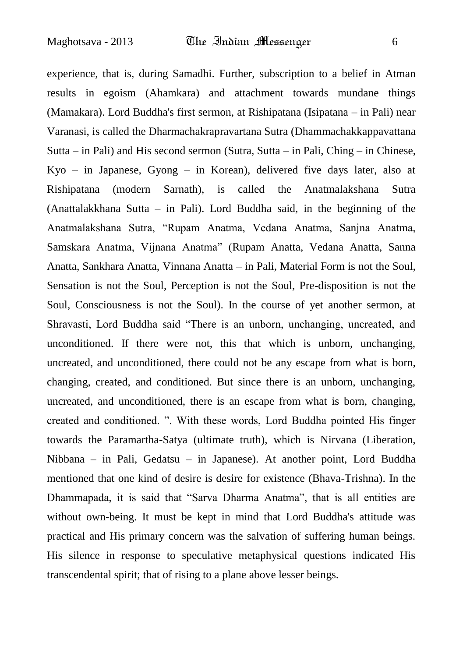experience, that is, during Samadhi. Further, subscription to a belief in Atman results in egoism (Ahamkara) and attachment towards mundane things (Mamakara). Lord Buddha's first sermon, at Rishipatana (Isipatana – in Pali) near Varanasi, is called the Dharmachakrapravartana Sutra (Dhammachakkappavattana Sutta – in Pali) and His second sermon (Sutra, Sutta – in Pali, Ching – in Chinese, Kyo – in Japanese, Gyong – in Korean), delivered five days later, also at Rishipatana (modern Sarnath), is called the Anatmalakshana Sutra (Anattalakkhana Sutta – in Pali). Lord Buddha said, in the beginning of the Anatmalakshana Sutra, "Rupam Anatma, Vedana Anatma, Sanjna Anatma, Samskara Anatma, Vijnana Anatma" (Rupam Anatta, Vedana Anatta, Sanna Anatta, Sankhara Anatta, Vinnana Anatta – in Pali, Material Form is not the Soul, Sensation is not the Soul, Perception is not the Soul, Pre-disposition is not the Soul, Consciousness is not the Soul). In the course of yet another sermon, at Shravasti, Lord Buddha said "There is an unborn, unchanging, uncreated, and unconditioned. If there were not, this that which is unborn, unchanging, uncreated, and unconditioned, there could not be any escape from what is born, changing, created, and conditioned. But since there is an unborn, unchanging, uncreated, and unconditioned, there is an escape from what is born, changing, created and conditioned. ". With these words, Lord Buddha pointed His finger towards the Paramartha-Satya (ultimate truth), which is Nirvana (Liberation, Nibbana – in Pali, Gedatsu – in Japanese). At another point, Lord Buddha mentioned that one kind of desire is desire for existence (Bhava-Trishna). In the Dhammapada, it is said that "Sarva Dharma Anatma", that is all entities are without own-being. It must be kept in mind that Lord Buddha's attitude was practical and His primary concern was the salvation of suffering human beings. His silence in response to speculative metaphysical questions indicated His transcendental spirit; that of rising to a plane above lesser beings.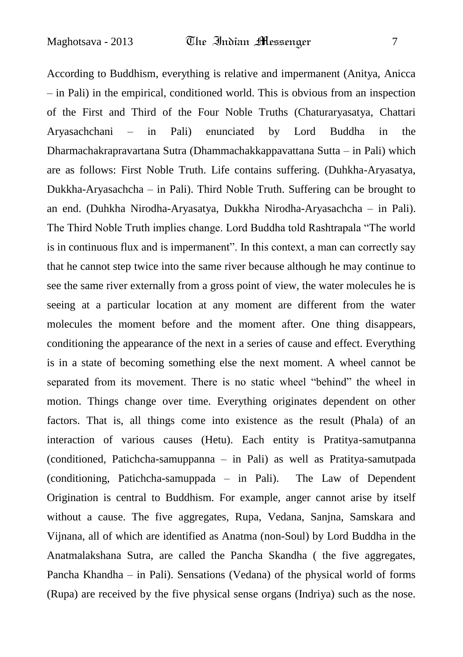According to Buddhism, everything is relative and impermanent (Anitya, Anicca – in Pali) in the empirical, conditioned world. This is obvious from an inspection of the First and Third of the Four Noble Truths (Chaturaryasatya, Chattari Aryasachchani – in Pali) enunciated by Lord Buddha in the Dharmachakrapravartana Sutra (Dhammachakkappavattana Sutta – in Pali) which are as follows: First Noble Truth. Life contains suffering. (Duhkha-Aryasatya, Dukkha-Aryasachcha – in Pali). Third Noble Truth. Suffering can be brought to an end. (Duhkha Nirodha-Aryasatya, Dukkha Nirodha-Aryasachcha – in Pali). The Third Noble Truth implies change. Lord Buddha told Rashtrapala "The world is in continuous flux and is impermanent". In this context, a man can correctly say that he cannot step twice into the same river because although he may continue to see the same river externally from a gross point of view, the water molecules he is seeing at a particular location at any moment are different from the water molecules the moment before and the moment after. One thing disappears, conditioning the appearance of the next in a series of cause and effect. Everything is in a state of becoming something else the next moment. A wheel cannot be separated from its movement. There is no static wheel "behind" the wheel in motion. Things change over time. Everything originates dependent on other factors. That is, all things come into existence as the result (Phala) of an interaction of various causes (Hetu). Each entity is Pratitya-samutpanna (conditioned, Patichcha-samuppanna – in Pali) as well as Pratitya-samutpada (conditioning, Patichcha-samuppada – in Pali). The Law of Dependent Origination is central to Buddhism. For example, anger cannot arise by itself without a cause. The five aggregates, Rupa, Vedana, Sanjna, Samskara and Vijnana, all of which are identified as Anatma (non-Soul) by Lord Buddha in the Anatmalakshana Sutra, are called the Pancha Skandha ( the five aggregates, Pancha Khandha – in Pali). Sensations (Vedana) of the physical world of forms (Rupa) are received by the five physical sense organs (Indriya) such as the nose.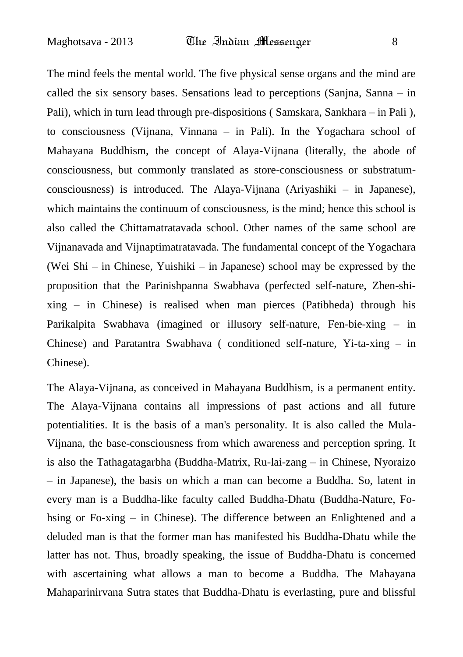The mind feels the mental world. The five physical sense organs and the mind are called the six sensory bases. Sensations lead to perceptions (Sanjna, Sanna – in Pali), which in turn lead through pre-dispositions ( Samskara, Sankhara – in Pali ), to consciousness (Vijnana, Vinnana – in Pali). In the Yogachara school of Mahayana Buddhism, the concept of Alaya-Vijnana (literally, the abode of consciousness, but commonly translated as store-consciousness or substratumconsciousness) is introduced. The Alaya-Vijnana (Ariyashiki – in Japanese), which maintains the continuum of consciousness, is the mind; hence this school is also called the Chittamatratavada school. Other names of the same school are Vijnanavada and Vijnaptimatratavada. The fundamental concept of the Yogachara (Wei Shi – in Chinese, Yuishiki – in Japanese) school may be expressed by the proposition that the Parinishpanna Swabhava (perfected self-nature, Zhen-shixing – in Chinese) is realised when man pierces (Patibheda) through his Parikalpita Swabhava (imagined or illusory self-nature, Fen-bie-xing – in Chinese) and Paratantra Swabhava ( conditioned self-nature, Yi-ta-xing – in Chinese).

The Alaya-Vijnana, as conceived in Mahayana Buddhism, is a permanent entity. The Alaya-Vijnana contains all impressions of past actions and all future potentialities. It is the basis of a man's personality. It is also called the Mula-Vijnana, the base-consciousness from which awareness and perception spring. It is also the Tathagatagarbha (Buddha-Matrix, Ru-lai-zang – in Chinese, Nyoraizo – in Japanese), the basis on which a man can become a Buddha. So, latent in every man is a Buddha-like faculty called Buddha-Dhatu (Buddha-Nature, Fohsing or Fo-xing – in Chinese). The difference between an Enlightened and a deluded man is that the former man has manifested his Buddha-Dhatu while the latter has not. Thus, broadly speaking, the issue of Buddha-Dhatu is concerned with ascertaining what allows a man to become a Buddha. The Mahayana Mahaparinirvana Sutra states that Buddha-Dhatu is everlasting, pure and blissful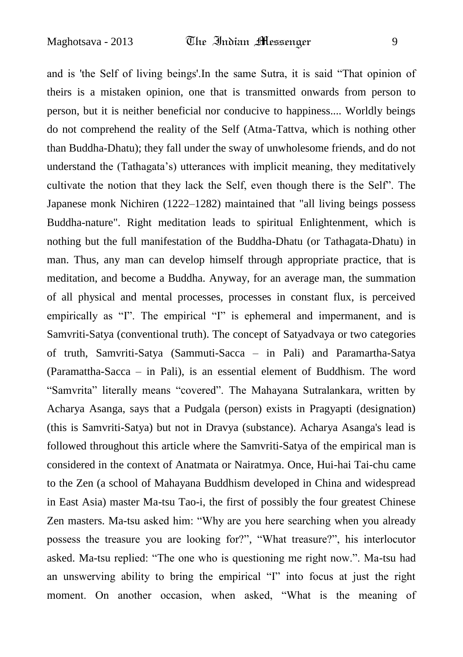and is 'the Self of living beings'.In the same Sutra, it is said "That opinion of theirs is a mistaken opinion, one that is transmitted onwards from person to person, but it is neither beneficial nor conducive to happiness.... Worldly beings do not comprehend the reality of the Self (Atma-Tattva, which is nothing other than Buddha-Dhatu); they fall under the sway of unwholesome friends, and do not understand the (Tathagata"s) utterances with implicit meaning, they meditatively cultivate the notion that they lack the Self, even though there is the Self". The Japanese monk Nichiren (1222–1282) maintained that "all living beings possess Buddha-nature". Right meditation leads to spiritual Enlightenment, which is nothing but the full manifestation of the Buddha-Dhatu (or Tathagata-Dhatu) in man. Thus, any man can develop himself through appropriate practice, that is meditation, and become a Buddha. Anyway, for an average man, the summation of all physical and mental processes, processes in constant flux, is perceived empirically as "I". The empirical "I" is ephemeral and impermanent, and is Samvriti-Satya (conventional truth). The concept of Satyadvaya or two categories of truth, Samvriti-Satya (Sammuti-Sacca – in Pali) and Paramartha-Satya (Paramattha-Sacca – in Pali), is an essential element of Buddhism. The word "Samvrita" literally means "covered". The Mahayana Sutralankara, written by Acharya Asanga, says that a Pudgala (person) exists in Pragyapti (designation) (this is Samvriti-Satya) but not in Dravya (substance). Acharya Asanga's lead is followed throughout this article where the Samvriti-Satya of the empirical man is considered in the context of Anatmata or Nairatmya. Once, Hui-hai Tai-chu came to the Zen (a school of Mahayana Buddhism developed in China and widespread in East Asia) master Ma-tsu Tao-i, the first of possibly the four greatest Chinese Zen masters. Ma-tsu asked him: "Why are you here searching when you already possess the treasure you are looking for?", "What treasure?", his interlocutor asked. Ma-tsu replied: "The one who is questioning me right now.". Ma-tsu had an unswerving ability to bring the empirical "I" into focus at just the right moment. On another occasion, when asked, "What is the meaning of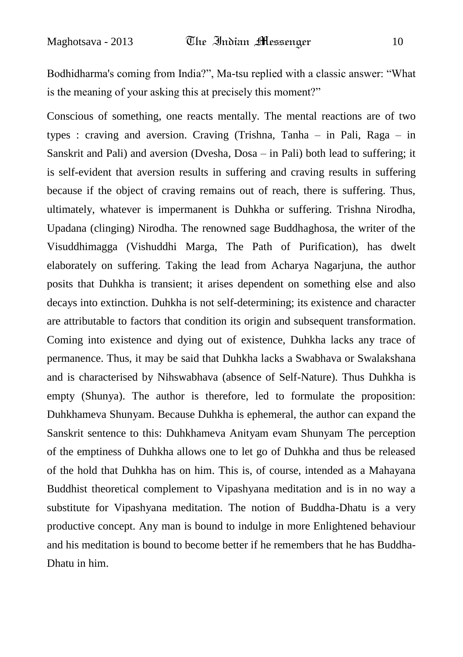Bodhidharma's coming from India?", Ma-tsu replied with a classic answer: "What is the meaning of your asking this at precisely this moment?"

Conscious of something, one reacts mentally. The mental reactions are of two types : craving and aversion. Craving (Trishna, Tanha – in Pali, Raga – in Sanskrit and Pali) and aversion (Dvesha, Dosa – in Pali) both lead to suffering; it is self-evident that aversion results in suffering and craving results in suffering because if the object of craving remains out of reach, there is suffering. Thus, ultimately, whatever is impermanent is Duhkha or suffering. Trishna Nirodha, Upadana (clinging) Nirodha. The renowned sage Buddhaghosa, the writer of the Visuddhimagga (Vishuddhi Marga, The Path of Purification), has dwelt elaborately on suffering. Taking the lead from Acharya Nagarjuna, the author posits that Duhkha is transient; it arises dependent on something else and also decays into extinction. Duhkha is not self-determining; its existence and character are attributable to factors that condition its origin and subsequent transformation. Coming into existence and dying out of existence, Duhkha lacks any trace of permanence. Thus, it may be said that Duhkha lacks a Swabhava or Swalakshana and is characterised by Nihswabhava (absence of Self-Nature). Thus Duhkha is empty (Shunya). The author is therefore, led to formulate the proposition: Duhkhameva Shunyam. Because Duhkha is ephemeral, the author can expand the Sanskrit sentence to this: Duhkhameva Anityam evam Shunyam The perception of the emptiness of Duhkha allows one to let go of Duhkha and thus be released of the hold that Duhkha has on him. This is, of course, intended as a Mahayana Buddhist theoretical complement to Vipashyana meditation and is in no way a substitute for Vipashyana meditation. The notion of Buddha-Dhatu is a very productive concept. Any man is bound to indulge in more Enlightened behaviour and his meditation is bound to become better if he remembers that he has Buddha-Dhatu in him.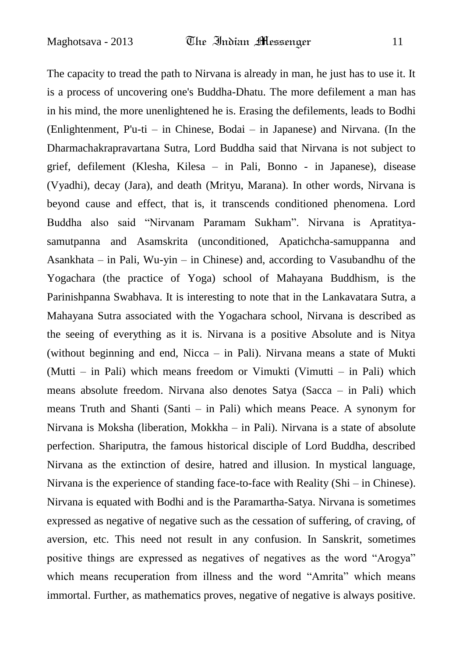The capacity to tread the path to Nirvana is already in man, he just has to use it. It is a process of uncovering one's Buddha-Dhatu. The more defilement a man has in his mind, the more unenlightened he is. Erasing the defilements, leads to Bodhi (Enlightenment, P'u-ti – in Chinese, Bodai – in Japanese) and Nirvana. (In the Dharmachakrapravartana Sutra, Lord Buddha said that Nirvana is not subject to grief, defilement (Klesha, Kilesa – in Pali, Bonno - in Japanese), disease (Vyadhi), decay (Jara), and death (Mrityu, Marana). In other words, Nirvana is beyond cause and effect, that is, it transcends conditioned phenomena. Lord Buddha also said "Nirvanam Paramam Sukham". Nirvana is Apratityasamutpanna and Asamskrita (unconditioned, Apatichcha-samuppanna and Asankhata – in Pali, Wu-yin – in Chinese) and, according to Vasubandhu of the Yogachara (the practice of Yoga) school of Mahayana Buddhism, is the Parinishpanna Swabhava. It is interesting to note that in the Lankavatara Sutra, a Mahayana Sutra associated with the Yogachara school, Nirvana is described as the seeing of everything as it is. Nirvana is a positive Absolute and is Nitya (without beginning and end, Nicca – in Pali). Nirvana means a state of Mukti (Mutti – in Pali) which means freedom or Vimukti (Vimutti – in Pali) which means absolute freedom. Nirvana also denotes Satya (Sacca – in Pali) which means Truth and Shanti (Santi – in Pali) which means Peace. A synonym for Nirvana is Moksha (liberation, Mokkha – in Pali). Nirvana is a state of absolute perfection. Shariputra, the famous historical disciple of Lord Buddha, described Nirvana as the extinction of desire, hatred and illusion. In mystical language, Nirvana is the experience of standing face-to-face with Reality (Shi – in Chinese). Nirvana is equated with Bodhi and is the Paramartha-Satya. Nirvana is sometimes expressed as negative of negative such as the cessation of suffering, of craving, of aversion, etc. This need not result in any confusion. In Sanskrit, sometimes positive things are expressed as negatives of negatives as the word "Arogya" which means recuperation from illness and the word "Amrita" which means immortal. Further, as mathematics proves, negative of negative is always positive.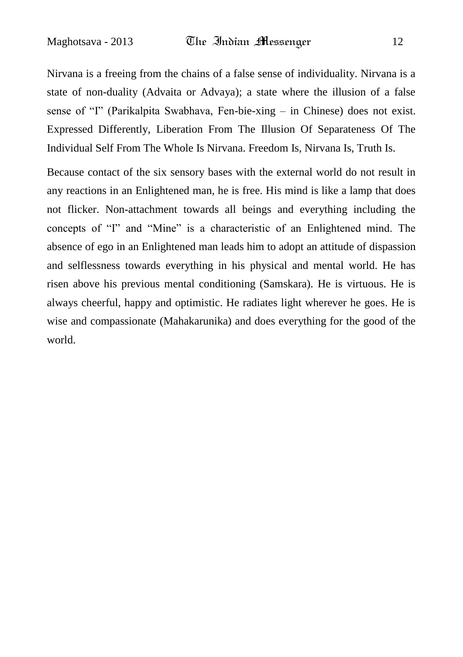Nirvana is a freeing from the chains of a false sense of individuality. Nirvana is a state of non-duality (Advaita or Advaya); a state where the illusion of a false sense of "I" (Parikalpita Swabhava, Fen-bie-xing – in Chinese) does not exist. Expressed Differently, Liberation From The Illusion Of Separateness Of The Individual Self From The Whole Is Nirvana. Freedom Is, Nirvana Is, Truth Is.

Because contact of the six sensory bases with the external world do not result in any reactions in an Enlightened man, he is free. His mind is like a lamp that does not flicker. Non-attachment towards all beings and everything including the concepts of "I" and "Mine" is a characteristic of an Enlightened mind. The absence of ego in an Enlightened man leads him to adopt an attitude of dispassion and selflessness towards everything in his physical and mental world. He has risen above his previous mental conditioning (Samskara). He is virtuous. He is always cheerful, happy and optimistic. He radiates light wherever he goes. He is wise and compassionate (Mahakarunika) and does everything for the good of the world.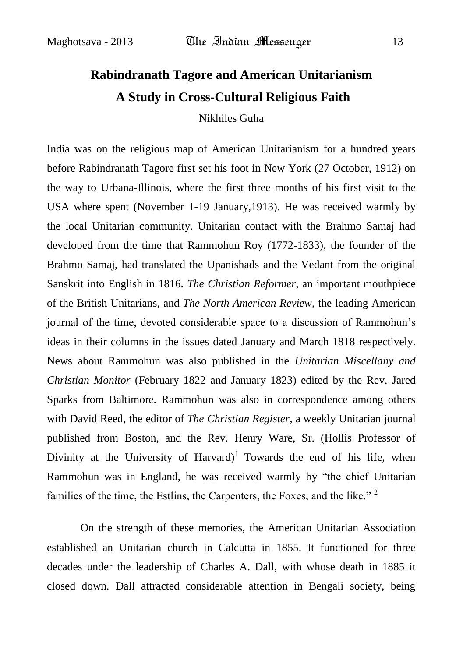## **Rabindranath Tagore and American Unitarianism A Study in Cross-Cultural Religious Faith**

Nikhiles Guha

India was on the religious map of American Unitarianism for a hundred years before Rabindranath Tagore first set his foot in New York (27 October, 1912) on the way to Urbana-Illinois, where the first three months of his first visit to the USA where spent (November 1-19 January,1913). He was received warmly by the local Unitarian community. Unitarian contact with the Brahmo Samaj had developed from the time that Rammohun Roy (1772-1833), the founder of the Brahmo Samaj, had translated the Upanishads and the Vedant from the original Sanskrit into English in 1816. *The Christian Reformer*, an important mouthpiece of the British Unitarians, and *The North American Review*, the leading American journal of the time, devoted considerable space to a discussion of Rammohun"s ideas in their columns in the issues dated January and March 1818 respectively. News about Rammohun was also published in the *Unitarian Miscellany and Christian Monitor* (February 1822 and January 1823) edited by the Rev. Jared Sparks from Baltimore. Rammohun was also in correspondence among others with David Reed, the editor of *The Christian Register,* a weekly Unitarian journal published from Boston, and the Rev. Henry Ware, Sr. (Hollis Professor of Divinity at the University of Harvard)<sup>1</sup> Towards the end of his life, when Rammohun was in England, he was received warmly by "the chief Unitarian families of the time, the Estlins, the Carpenters, the Foxes, and the like."<sup>2</sup>

On the strength of these memories, the American Unitarian Association established an Unitarian church in Calcutta in 1855. It functioned for three decades under the leadership of Charles A. Dall, with whose death in 1885 it closed down. Dall attracted considerable attention in Bengali society, being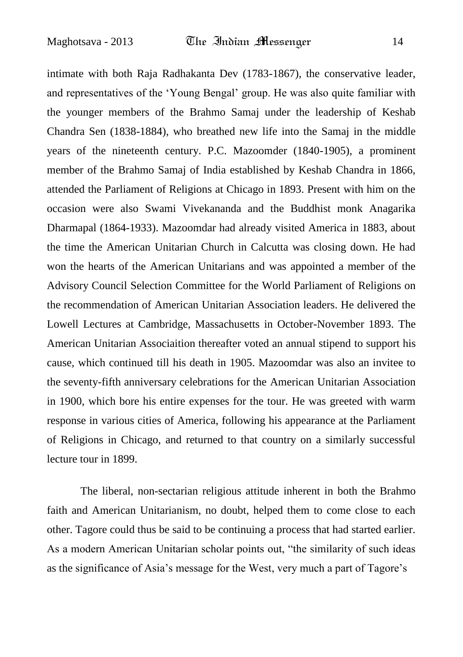intimate with both Raja Radhakanta Dev (1783-1867), the conservative leader, and representatives of the "Young Bengal" group. He was also quite familiar with the younger members of the Brahmo Samaj under the leadership of Keshab Chandra Sen (1838-1884), who breathed new life into the Samaj in the middle years of the nineteenth century. P.C. Mazoomder (1840-1905), a prominent member of the Brahmo Samaj of India established by Keshab Chandra in 1866, attended the Parliament of Religions at Chicago in 1893. Present with him on the occasion were also Swami Vivekananda and the Buddhist monk Anagarika Dharmapal (1864-1933). Mazoomdar had already visited America in 1883, about the time the American Unitarian Church in Calcutta was closing down. He had won the hearts of the American Unitarians and was appointed a member of the Advisory Council Selection Committee for the World Parliament of Religions on the recommendation of American Unitarian Association leaders. He delivered the Lowell Lectures at Cambridge, Massachusetts in October-November 1893. The American Unitarian Associaition thereafter voted an annual stipend to support his cause, which continued till his death in 1905. Mazoomdar was also an invitee to the seventy-fifth anniversary celebrations for the American Unitarian Association in 1900, which bore his entire expenses for the tour. He was greeted with warm response in various cities of America, following his appearance at the Parliament of Religions in Chicago, and returned to that country on a similarly successful lecture tour in 1899.

The liberal, non-sectarian religious attitude inherent in both the Brahmo faith and American Unitarianism, no doubt, helped them to come close to each other. Tagore could thus be said to be continuing a process that had started earlier. As a modern American Unitarian scholar points out, "the similarity of such ideas as the significance of Asia"s message for the West, very much a part of Tagore"s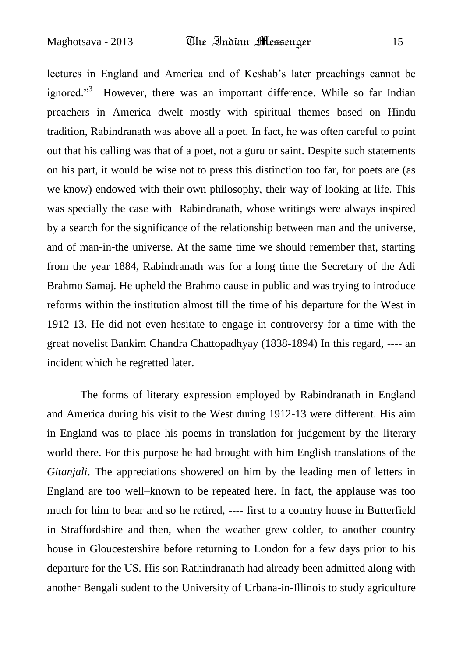lectures in England and America and of Keshab"s later preachings cannot be ignored."<sup>3</sup> However, there was an important difference. While so far Indian preachers in America dwelt mostly with spiritual themes based on Hindu tradition, Rabindranath was above all a poet. In fact, he was often careful to point out that his calling was that of a poet, not a guru or saint. Despite such statements on his part, it would be wise not to press this distinction too far, for poets are (as we know) endowed with their own philosophy, their way of looking at life. This was specially the case with Rabindranath, whose writings were always inspired by a search for the significance of the relationship between man and the universe, and of man-in-the universe. At the same time we should remember that, starting from the year 1884, Rabindranath was for a long time the Secretary of the Adi Brahmo Samaj. He upheld the Brahmo cause in public and was trying to introduce reforms within the institution almost till the time of his departure for the West in 1912-13. He did not even hesitate to engage in controversy for a time with the great novelist Bankim Chandra Chattopadhyay (1838-1894) In this regard, ---- an incident which he regretted later.

The forms of literary expression employed by Rabindranath in England and America during his visit to the West during 1912-13 were different. His aim in England was to place his poems in translation for judgement by the literary world there. For this purpose he had brought with him English translations of the *Gitanjali*. The appreciations showered on him by the leading men of letters in England are too well–known to be repeated here. In fact, the applause was too much for him to bear and so he retired, ---- first to a country house in Butterfield in Straffordshire and then, when the weather grew colder, to another country house in Gloucestershire before returning to London for a few days prior to his departure for the US. His son Rathindranath had already been admitted along with another Bengali sudent to the University of Urbana-in-Illinois to study agriculture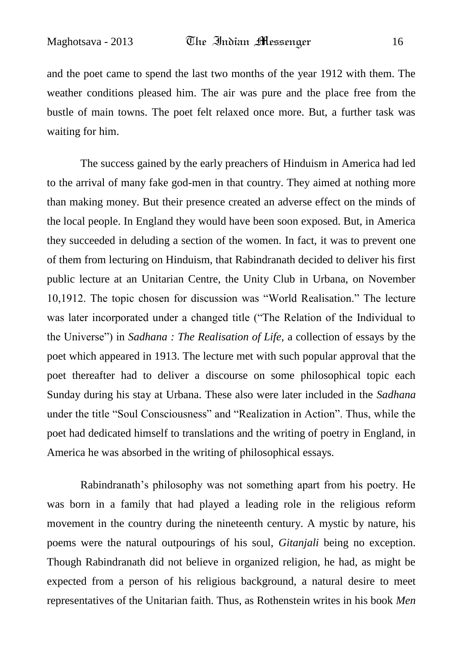and the poet came to spend the last two months of the year 1912 with them. The weather conditions pleased him. The air was pure and the place free from the bustle of main towns. The poet felt relaxed once more. But, a further task was waiting for him.

The success gained by the early preachers of Hinduism in America had led to the arrival of many fake god-men in that country. They aimed at nothing more than making money. But their presence created an adverse effect on the minds of the local people. In England they would have been soon exposed. But, in America they succeeded in deluding a section of the women. In fact, it was to prevent one of them from lecturing on Hinduism, that Rabindranath decided to deliver his first public lecture at an Unitarian Centre, the Unity Club in Urbana, on November 10,1912. The topic chosen for discussion was "World Realisation." The lecture was later incorporated under a changed title ("The Relation of the Individual to the Universe") in *Sadhana : The Realisation of Life*, a collection of essays by the poet which appeared in 1913. The lecture met with such popular approval that the poet thereafter had to deliver a discourse on some philosophical topic each Sunday during his stay at Urbana. These also were later included in the *Sadhana* under the title "Soul Consciousness" and "Realization in Action". Thus, while the poet had dedicated himself to translations and the writing of poetry in England, in America he was absorbed in the writing of philosophical essays.

Rabindranath"s philosophy was not something apart from his poetry. He was born in a family that had played a leading role in the religious reform movement in the country during the nineteenth century. A mystic by nature, his poems were the natural outpourings of his soul, *Gitanjali* being no exception. Though Rabindranath did not believe in organized religion, he had, as might be expected from a person of his religious background, a natural desire to meet representatives of the Unitarian faith. Thus, as Rothenstein writes in his book *Men*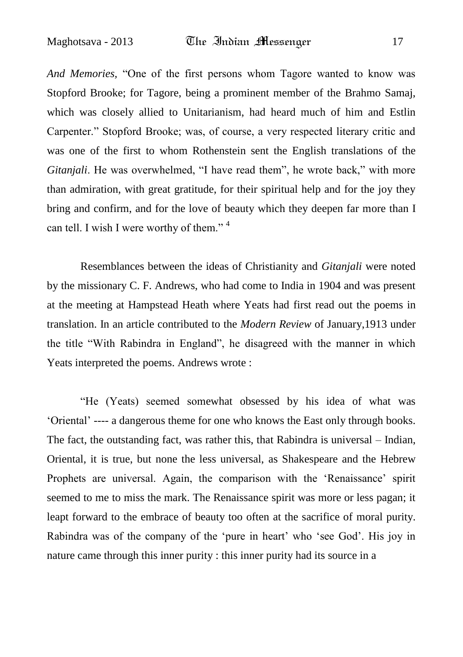*And Memories,* "One of the first persons whom Tagore wanted to know was Stopford Brooke; for Tagore, being a prominent member of the Brahmo Samaj, which was closely allied to Unitarianism, had heard much of him and Estlin Carpenter." Stopford Brooke; was, of course, a very respected literary critic and was one of the first to whom Rothenstein sent the English translations of the *Gitanjali*. He was overwhelmed, "I have read them", he wrote back," with more than admiration, with great gratitude, for their spiritual help and for the joy they bring and confirm, and for the love of beauty which they deepen far more than I can tell. I wish I were worthy of them."<sup>4</sup>

Resemblances between the ideas of Christianity and *Gitanjali* were noted by the missionary C. F. Andrews, who had come to India in 1904 and was present at the meeting at Hampstead Heath where Yeats had first read out the poems in translation. In an article contributed to the *Modern Review* of January,1913 under the title "With Rabindra in England", he disagreed with the manner in which Yeats interpreted the poems. Andrews wrote :

"He (Yeats) seemed somewhat obsessed by his idea of what was "Oriental" ---- a dangerous theme for one who knows the East only through books. The fact, the outstanding fact, was rather this, that Rabindra is universal – Indian, Oriental, it is true, but none the less universal, as Shakespeare and the Hebrew Prophets are universal. Again, the comparison with the "Renaissance" spirit seemed to me to miss the mark. The Renaissance spirit was more or less pagan; it leapt forward to the embrace of beauty too often at the sacrifice of moral purity. Rabindra was of the company of the 'pure in heart' who 'see God'. His joy in nature came through this inner purity : this inner purity had its source in a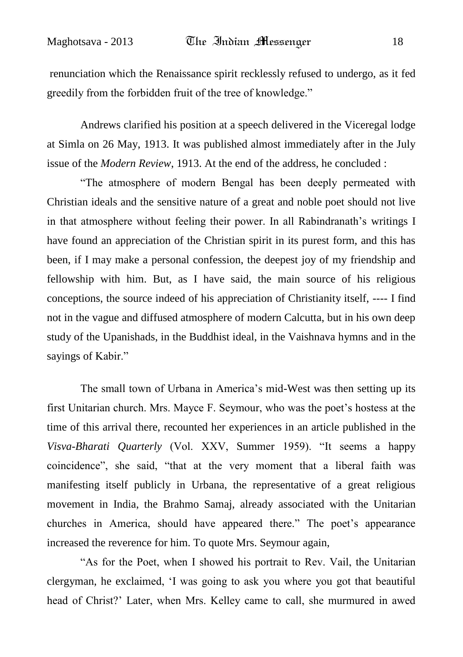renunciation which the Renaissance spirit recklessly refused to undergo, as it fed greedily from the forbidden fruit of the tree of knowledge."

Andrews clarified his position at a speech delivered in the Viceregal lodge at Simla on 26 May, 1913. It was published almost immediately after in the July issue of the *Modern Review*, 1913. At the end of the address, he concluded :

"The atmosphere of modern Bengal has been deeply permeated with Christian ideals and the sensitive nature of a great and noble poet should not live in that atmosphere without feeling their power. In all Rabindranath's writings I have found an appreciation of the Christian spirit in its purest form, and this has been, if I may make a personal confession, the deepest joy of my friendship and fellowship with him. But, as I have said, the main source of his religious conceptions, the source indeed of his appreciation of Christianity itself, ---- I find not in the vague and diffused atmosphere of modern Calcutta, but in his own deep study of the Upanishads, in the Buddhist ideal, in the Vaishnava hymns and in the sayings of Kabir."

The small town of Urbana in America's mid-West was then setting up its first Unitarian church. Mrs. Mayce F. Seymour, who was the poet"s hostess at the time of this arrival there, recounted her experiences in an article published in the *Visva-Bharati Quarterly* (Vol. XXV, Summer 1959). "It seems a happy coincidence", she said, "that at the very moment that a liberal faith was manifesting itself publicly in Urbana, the representative of a great religious movement in India, the Brahmo Samaj, already associated with the Unitarian churches in America, should have appeared there." The poet"s appearance increased the reverence for him. To quote Mrs. Seymour again,

"As for the Poet, when I showed his portrait to Rev. Vail, the Unitarian clergyman, he exclaimed, "I was going to ask you where you got that beautiful head of Christ?" Later, when Mrs. Kelley came to call, she murmured in awed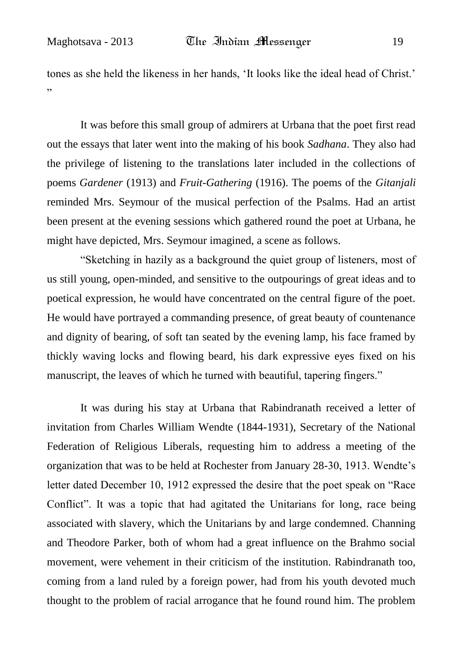tones as she held the likeness in her hands, "It looks like the ideal head of Christ." "

It was before this small group of admirers at Urbana that the poet first read out the essays that later went into the making of his book *Sadhana*. They also had the privilege of listening to the translations later included in the collections of poems *Gardener* (1913) and *Fruit-Gathering* (1916). The poems of the *Gitanjali*  reminded Mrs. Seymour of the musical perfection of the Psalms. Had an artist been present at the evening sessions which gathered round the poet at Urbana, he might have depicted, Mrs. Seymour imagined, a scene as follows.

"Sketching in hazily as a background the quiet group of listeners, most of us still young, open-minded, and sensitive to the outpourings of great ideas and to poetical expression, he would have concentrated on the central figure of the poet. He would have portrayed a commanding presence, of great beauty of countenance and dignity of bearing, of soft tan seated by the evening lamp, his face framed by thickly waving locks and flowing beard, his dark expressive eyes fixed on his manuscript, the leaves of which he turned with beautiful, tapering fingers."

It was during his stay at Urbana that Rabindranath received a letter of invitation from Charles William Wendte (1844-1931), Secretary of the National Federation of Religious Liberals, requesting him to address a meeting of the organization that was to be held at Rochester from January 28-30, 1913. Wendte"s letter dated December 10, 1912 expressed the desire that the poet speak on "Race Conflict". It was a topic that had agitated the Unitarians for long, race being associated with slavery, which the Unitarians by and large condemned. Channing and Theodore Parker, both of whom had a great influence on the Brahmo social movement, were vehement in their criticism of the institution. Rabindranath too, coming from a land ruled by a foreign power, had from his youth devoted much thought to the problem of racial arrogance that he found round him. The problem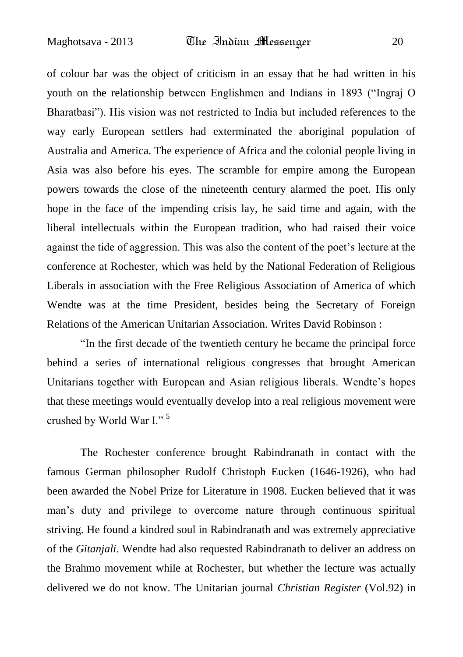of colour bar was the object of criticism in an essay that he had written in his youth on the relationship between Englishmen and Indians in 1893 ("Ingraj O Bharatbasi"). His vision was not restricted to India but included references to the way early European settlers had exterminated the aboriginal population of Australia and America. The experience of Africa and the colonial people living in Asia was also before his eyes. The scramble for empire among the European powers towards the close of the nineteenth century alarmed the poet. His only hope in the face of the impending crisis lay, he said time and again, with the liberal intellectuals within the European tradition, who had raised their voice against the tide of aggression. This was also the content of the poet"s lecture at the conference at Rochester, which was held by the National Federation of Religious Liberals in association with the Free Religious Association of America of which Wendte was at the time President, besides being the Secretary of Foreign Relations of the American Unitarian Association. Writes David Robinson :

"In the first decade of the twentieth century he became the principal force behind a series of international religious congresses that brought American Unitarians together with European and Asian religious liberals. Wendte"s hopes that these meetings would eventually develop into a real religious movement were crushed by World War I." <sup>5</sup>

The Rochester conference brought Rabindranath in contact with the famous German philosopher Rudolf Christoph Eucken (1646-1926), who had been awarded the Nobel Prize for Literature in 1908. Eucken believed that it was man"s duty and privilege to overcome nature through continuous spiritual striving. He found a kindred soul in Rabindranath and was extremely appreciative of the *Gitanjali*. Wendte had also requested Rabindranath to deliver an address on the Brahmo movement while at Rochester, but whether the lecture was actually delivered we do not know. The Unitarian journal *Christian Register* (Vol.92) in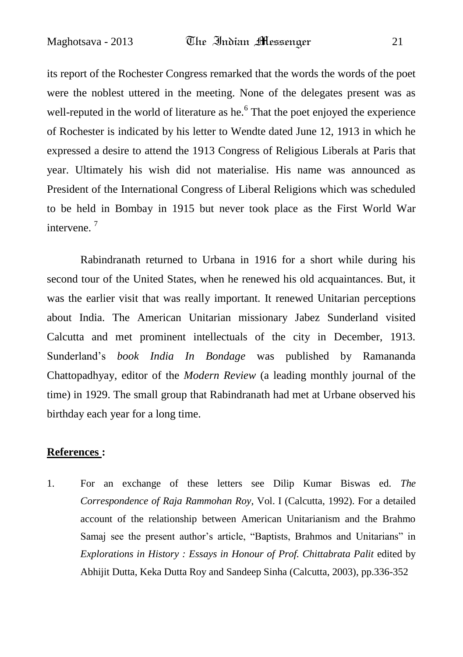its report of the Rochester Congress remarked that the words the words of the poet were the noblest uttered in the meeting. None of the delegates present was as well-reputed in the world of literature as he. $6$  That the poet enjoyed the experience of Rochester is indicated by his letter to Wendte dated June 12, 1913 in which he expressed a desire to attend the 1913 Congress of Religious Liberals at Paris that year. Ultimately his wish did not materialise. His name was announced as President of the International Congress of Liberal Religions which was scheduled to be held in Bombay in 1915 but never took place as the First World War intervene. <sup>7</sup>

Rabindranath returned to Urbana in 1916 for a short while during his second tour of the United States, when he renewed his old acquaintances. But, it was the earlier visit that was really important. It renewed Unitarian perceptions about India. The American Unitarian missionary Jabez Sunderland visited Calcutta and met prominent intellectuals of the city in December, 1913. Sunderland"s *book India In Bondage* was published by Ramananda Chattopadhyay, editor of the *Modern Review* (a leading monthly journal of the time) in 1929. The small group that Rabindranath had met at Urbane observed his birthday each year for a long time.

#### **References :**

1. For an exchange of these letters see Dilip Kumar Biswas ed*. The Correspondence of Raja Rammohan Roy*, Vol. I (Calcutta, 1992). For a detailed account of the relationship between American Unitarianism and the Brahmo Samaj see the present author"s article, "Baptists, Brahmos and Unitarians" in *Explorations in History : Essays in Honour of Prof. Chittabrata Palit* edited by Abhijit Dutta, Keka Dutta Roy and Sandeep Sinha (Calcutta, 2003), pp.336-352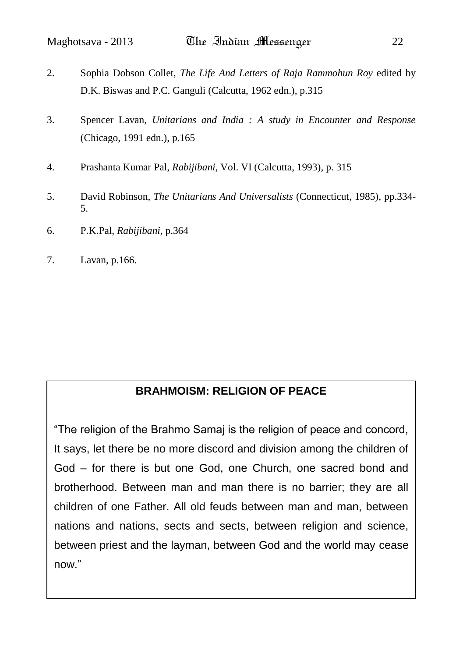- 2. Sophia Dobson Collet, *The Life And Letters of Raja Rammohun Roy* edited by D.K. Biswas and P.C. Ganguli (Calcutta, 1962 edn.), p.315
- 3. Spencer Lavan, *Unitarians and India : A study in Encounter and Response* (Chicago, 1991 edn.), p.165
- 4. Prashanta Kumar Pal, *Rabijibani*, Vol. VI (Calcutta, 1993), p. 315
- 5. David Robinson, *The Unitarians And Universalists* (Connecticut, 1985), pp.334- 5.
- 6. P.K.Pal, *Rabijibani,* p.364
- 7. Lavan, p.166.

### **BRAHMOISM: RELIGION OF PEACE**

"The religion of the Brahmo Samaj is the religion of peace and concord, It says, let there be no more discord and division among the children of God – for there is but one God, one Church, one sacred bond and brotherhood. Between man and man there is no barrier; they are all children of one Father. All old feuds between man and man, between nations and nations, sects and sects, between religion and science, between priest and the layman, between God and the world may cease now."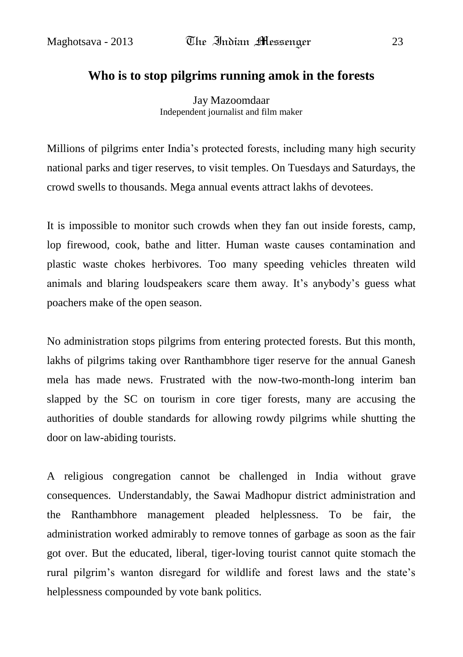#### **[Who is to stop pilgrims running amok in the forests](http://mazoomdaar.blogspot.in/2012/09/who-is-to-stop-pilgrims-running-amok-in.html)**

Jay Mazoomdaar Independent journalist and film maker

Millions of pilgrims enter India"s protected forests, including many high security national parks and tiger reserves, to visit temples. On Tuesdays and Saturdays, the crowd swells to thousands. Mega annual events attract lakhs of devotees.

It is impossible to monitor such crowds when they fan out inside forests, camp, lop firewood, cook, bathe and litter. Human waste causes contamination and plastic waste chokes herbivores. Too many speeding vehicles threaten wild animals and blaring loudspeakers scare them away. It's anybody's guess what poachers make of the open season.

No administration stops pilgrims from entering protected forests. But this month, lakhs of pilgrims taking over Ranthambhore tiger reserve for the annual Ganesh mela has made news. Frustrated with the now-two-month-long interim ban slapped by the SC on tourism in core tiger forests, many are accusing the authorities of double standards for allowing rowdy pilgrims while shutting the door on law-abiding tourists.

A religious congregation cannot be challenged in India without grave consequences. Understandably, the Sawai Madhopur district administration and the Ranthambhore management pleaded helplessness. To be fair, the administration worked admirably to remove tonnes of garbage as soon as the fair got over. But the educated, liberal, tiger-loving tourist cannot quite stomach the rural pilgrim"s wanton disregard for wildlife and forest laws and the state"s helplessness compounded by vote bank politics.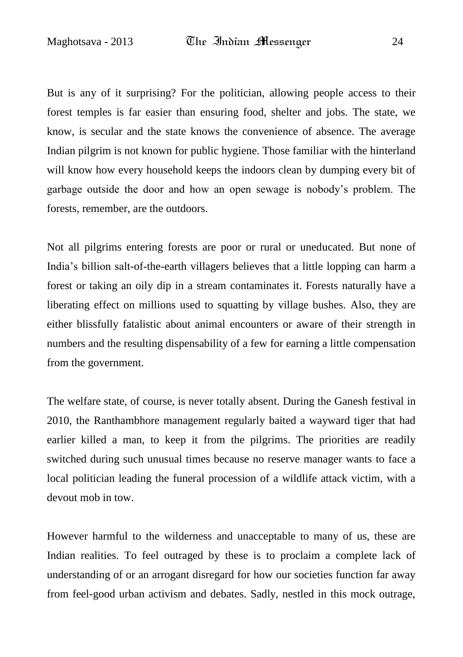But is any of it surprising? For the politician, allowing people access to their forest temples is far easier than ensuring food, shelter and jobs. The state, we know, is secular and the state knows the convenience of absence. The average Indian pilgrim is not known for public hygiene. Those familiar with the hinterland will know how every household keeps the indoors clean by dumping every bit of garbage outside the door and how an open sewage is nobody"s problem. The forests, remember, are the outdoors.

Not all pilgrims entering forests are poor or rural or uneducated. But none of India"s billion salt-of-the-earth villagers believes that a little lopping can harm a forest or taking an oily dip in a stream contaminates it. Forests naturally have a liberating effect on millions used to squatting by village bushes. Also, they are either blissfully fatalistic about animal encounters or aware of their strength in numbers and the resulting dispensability of a few for earning a little compensation from the government.

The welfare state, of course, is never totally absent. During the Ganesh festival in 2010, the Ranthambhore management regularly baited a wayward tiger that had earlier killed a man, to keep it from the pilgrims. The priorities are readily switched during such unusual times because no reserve manager wants to face a local politician leading the funeral procession of a wildlife attack victim, with a devout mob in tow.

However harmful to the wilderness and unacceptable to many of us, these are Indian realities. To feel outraged by these is to proclaim a complete lack of understanding of or an arrogant disregard for how our societies function far away from feel-good urban activism and debates. Sadly, nestled in this mock outrage,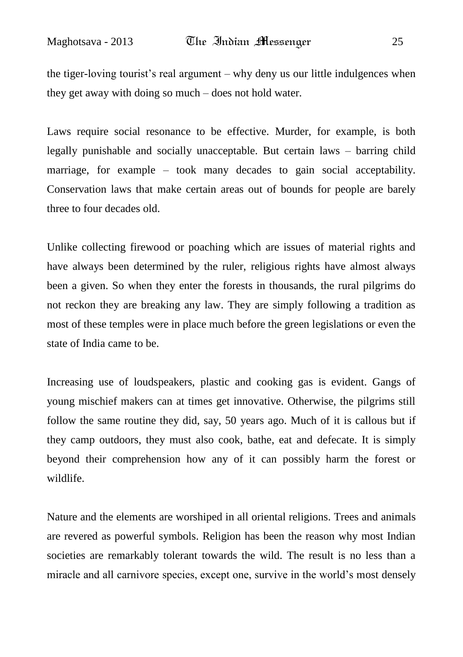the tiger-loving tourist"s real argument – why deny us our little indulgences when they get away with doing so much – does not hold water.

Laws require social resonance to be effective. Murder, for example, is both legally punishable and socially unacceptable. But certain laws – barring child marriage, for example – took many decades to gain social acceptability. Conservation laws that make certain areas out of bounds for people are barely three to four decades old.

Unlike collecting firewood or poaching which are issues of material rights and have always been determined by the ruler, religious rights have almost always been a given. So when they enter the forests in thousands, the rural pilgrims do not reckon they are breaking any law. They are simply following a tradition as most of these temples were in place much before the green legislations or even the state of India came to be.

Increasing use of loudspeakers, plastic and cooking gas is evident. Gangs of young mischief makers can at times get innovative. Otherwise, the pilgrims still follow the same routine they did, say, 50 years ago. Much of it is callous but if they camp outdoors, they must also cook, bathe, eat and defecate. It is simply beyond their comprehension how any of it can possibly harm the forest or wildlife.

Nature and the elements are worshiped in all oriental religions. Trees and animals are revered as powerful symbols. Religion has been the reason why most Indian societies are remarkably tolerant towards the wild. The result is no less than a miracle and all carnivore species, except one, survive in the world"s most densely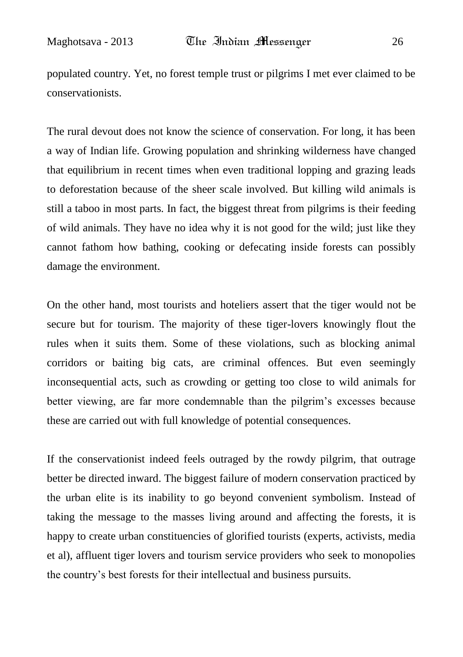populated country. Yet, no forest temple trust or pilgrims I met ever claimed to be conservationists.

The rural devout does not know the science of conservation. For long, it has been a way of Indian life. Growing population and shrinking wilderness have changed that equilibrium in recent times when even traditional lopping and grazing leads to deforestation because of the sheer scale involved. But killing wild animals is still a taboo in most parts. In fact, the biggest threat from pilgrims is their feeding of wild animals. They have no idea why it is not good for the wild; just like they cannot fathom how bathing, cooking or defecating inside forests can possibly damage the environment.

On the other hand, most tourists and hoteliers assert that the tiger would not be secure but for tourism. The majority of these tiger-lovers knowingly flout the rules when it suits them. Some of these violations, such as blocking animal corridors or baiting big cats, are criminal offences. But even seemingly inconsequential acts, such as crowding or getting too close to wild animals for better viewing, are far more condemnable than the pilgrim"s excesses because these are carried out with full knowledge of potential consequences.

If the conservationist indeed feels outraged by the rowdy pilgrim, that outrage better be directed inward. The biggest failure of modern conservation practiced by the urban elite is its inability to go beyond convenient symbolism. Instead of taking the message to the masses living around and affecting the forests, it is happy to create urban constituencies of glorified tourists (experts, activists, media et al), affluent tiger lovers and tourism service providers who seek to monopolies the country"s best forests for their intellectual and business pursuits.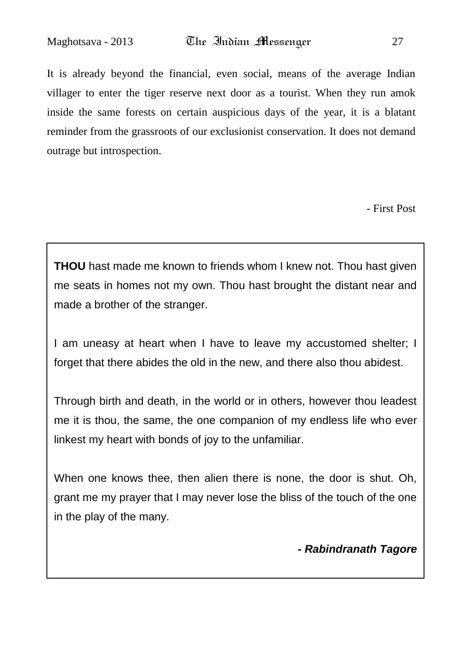It is already beyond the financial, even social, means of the average Indian villager to enter the tiger reserve next door as a tourist. When they run amok inside the same forests on certain auspicious days of the year, it is a blatant reminder from the grassroots of our exclusionist conservation. It does not demand outrage but introspection.

- First Post

**THOU** hast made me known to friends whom I knew not. Thou hast given me seats in homes not my own. Thou hast brought the distant near and made a brother of the stranger.

I am uneasy at heart when I have to leave my accustomed shelter; I forget that there abides the old in the new, and there also thou abidest.

Through birth and death, in the world or in others, however thou leadest me it is thou, the same, the one companion of my endless life who ever linkest my heart with bonds of joy to the unfamiliar.

When one knows thee, then alien there is none, the door is shut. Oh, grant me my prayer that I may never lose the bliss of the touch of the one in the play of the many.

*- Rabindranath Tagore*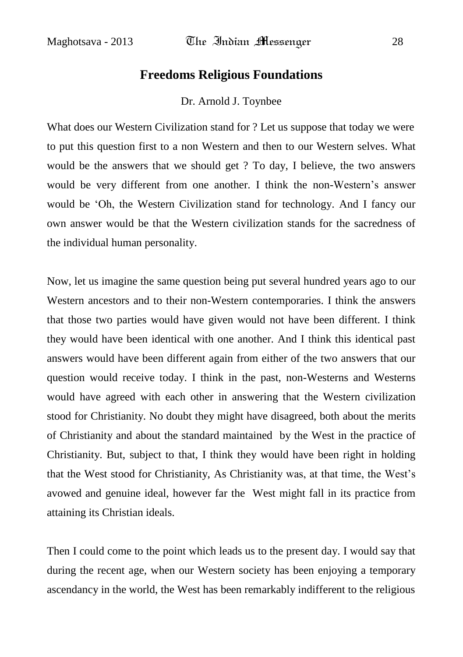#### **Freedoms Religious Foundations**

Dr. Arnold J. Toynbee

What does our Western Civilization stand for ? Let us suppose that today we were to put this question first to a non Western and then to our Western selves. What would be the answers that we should get ? To day, I believe, the two answers would be very different from one another. I think the non-Western"s answer would be "Oh, the Western Civilization stand for technology. And I fancy our own answer would be that the Western civilization stands for the sacredness of the individual human personality.

Now, let us imagine the same question being put several hundred years ago to our Western ancestors and to their non-Western contemporaries. I think the answers that those two parties would have given would not have been different. I think they would have been identical with one another. And I think this identical past answers would have been different again from either of the two answers that our question would receive today. I think in the past, non-Westerns and Westerns would have agreed with each other in answering that the Western civilization stood for Christianity. No doubt they might have disagreed, both about the merits of Christianity and about the standard maintained by the West in the practice of Christianity. But, subject to that, I think they would have been right in holding that the West stood for Christianity, As Christianity was, at that time, the West"s avowed and genuine ideal, however far the West might fall in its practice from attaining its Christian ideals.

Then I could come to the point which leads us to the present day. I would say that during the recent age, when our Western society has been enjoying a temporary ascendancy in the world, the West has been remarkably indifferent to the religious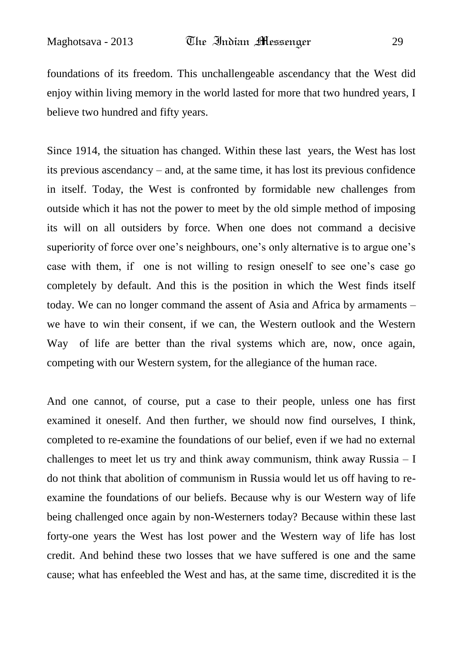foundations of its freedom. This unchallengeable ascendancy that the West did enjoy within living memory in the world lasted for more that two hundred years, I believe two hundred and fifty years.

Since 1914, the situation has changed. Within these last years, the West has lost its previous ascendancy – and, at the same time, it has lost its previous confidence in itself. Today, the West is confronted by formidable new challenges from outside which it has not the power to meet by the old simple method of imposing its will on all outsiders by force. When one does not command a decisive superiority of force over one's neighbours, one's only alternative is to argue one's case with them, if one is not willing to resign oneself to see one"s case go completely by default. And this is the position in which the West finds itself today. We can no longer command the assent of Asia and Africa by armaments – we have to win their consent, if we can, the Western outlook and the Western Way of life are better than the rival systems which are, now, once again, competing with our Western system, for the allegiance of the human race.

And one cannot, of course, put a case to their people, unless one has first examined it oneself. And then further, we should now find ourselves, I think, completed to re-examine the foundations of our belief, even if we had no external challenges to meet let us try and think away communism, think away Russia  $- I$ do not think that abolition of communism in Russia would let us off having to reexamine the foundations of our beliefs. Because why is our Western way of life being challenged once again by non-Westerners today? Because within these last forty-one years the West has lost power and the Western way of life has lost credit. And behind these two losses that we have suffered is one and the same cause; what has enfeebled the West and has, at the same time, discredited it is the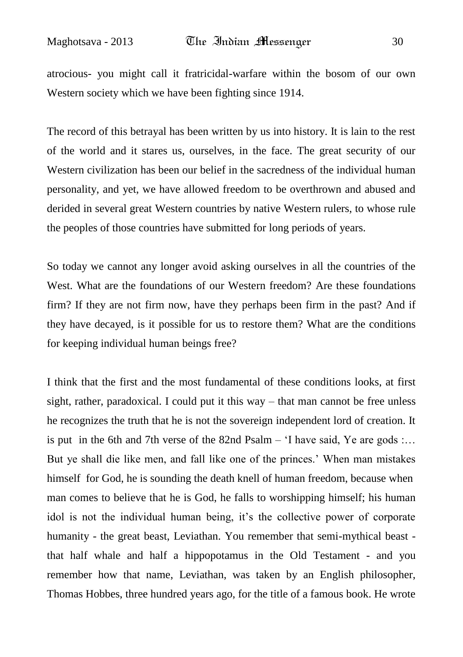atrocious- you might call it fratricidal-warfare within the bosom of our own Western society which we have been fighting since 1914.

The record of this betrayal has been written by us into history. It is lain to the rest of the world and it stares us, ourselves, in the face. The great security of our Western civilization has been our belief in the sacredness of the individual human personality, and yet, we have allowed freedom to be overthrown and abused and derided in several great Western countries by native Western rulers, to whose rule the peoples of those countries have submitted for long periods of years.

So today we cannot any longer avoid asking ourselves in all the countries of the West. What are the foundations of our Western freedom? Are these foundations firm? If they are not firm now, have they perhaps been firm in the past? And if they have decayed, is it possible for us to restore them? What are the conditions for keeping individual human beings free?

I think that the first and the most fundamental of these conditions looks, at first sight, rather, paradoxical. I could put it this way – that man cannot be free unless he recognizes the truth that he is not the sovereign independent lord of creation. It is put in the 6th and 7th verse of the 82nd Psalm  $-$  'I have said, Ye are gods  $\ldots$ But ye shall die like men, and fall like one of the princes." When man mistakes himself for God, he is sounding the death knell of human freedom, because when man comes to believe that he is God, he falls to worshipping himself; his human idol is not the individual human being, it's the collective power of corporate humanity - the great beast, Leviathan. You remember that semi-mythical beast that half whale and half a hippopotamus in the Old Testament - and you remember how that name, Leviathan, was taken by an English philosopher, Thomas Hobbes, three hundred years ago, for the title of a famous book. He wrote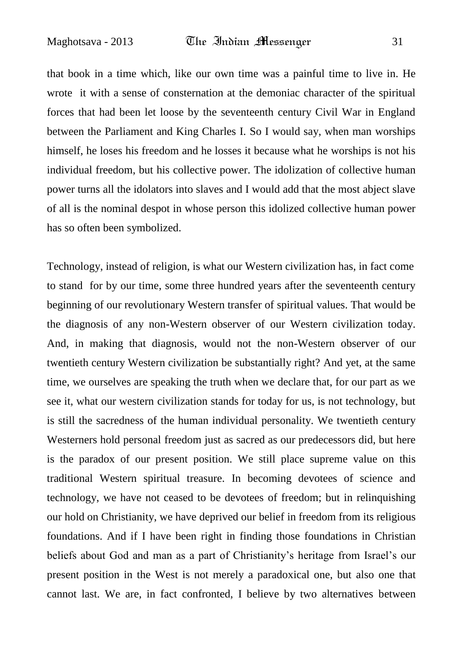that book in a time which, like our own time was a painful time to live in. He wrote it with a sense of consternation at the demoniac character of the spiritual forces that had been let loose by the seventeenth century Civil War in England between the Parliament and King Charles I. So I would say, when man worships himself, he loses his freedom and he losses it because what he worships is not his individual freedom, but his collective power. The idolization of collective human power turns all the idolators into slaves and I would add that the most abject slave of all is the nominal despot in whose person this idolized collective human power has so often been symbolized.

Technology, instead of religion, is what our Western civilization has, in fact come to stand for by our time, some three hundred years after the seventeenth century beginning of our revolutionary Western transfer of spiritual values. That would be the diagnosis of any non-Western observer of our Western civilization today. And, in making that diagnosis, would not the non-Western observer of our twentieth century Western civilization be substantially right? And yet, at the same time, we ourselves are speaking the truth when we declare that, for our part as we see it, what our western civilization stands for today for us, is not technology, but is still the sacredness of the human individual personality. We twentieth century Westerners hold personal freedom just as sacred as our predecessors did, but here is the paradox of our present position. We still place supreme value on this traditional Western spiritual treasure. In becoming devotees of science and technology, we have not ceased to be devotees of freedom; but in relinquishing our hold on Christianity, we have deprived our belief in freedom from its religious foundations. And if I have been right in finding those foundations in Christian beliefs about God and man as a part of Christianity"s heritage from Israel"s our present position in the West is not merely a paradoxical one, but also one that cannot last. We are, in fact confronted, I believe by two alternatives between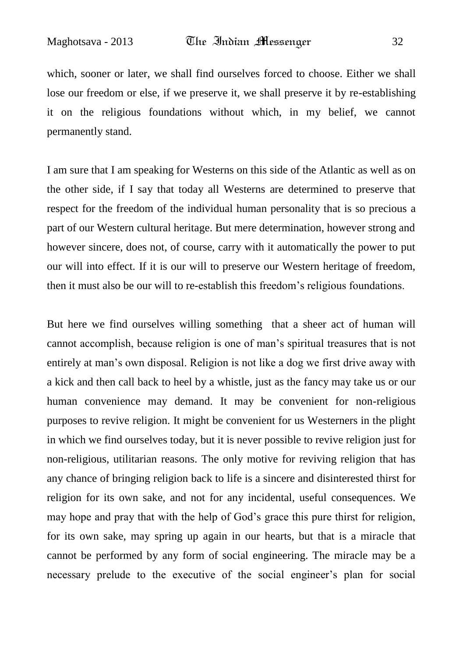which, sooner or later, we shall find ourselves forced to choose. Either we shall lose our freedom or else, if we preserve it, we shall preserve it by re-establishing it on the religious foundations without which, in my belief, we cannot permanently stand.

I am sure that I am speaking for Westerns on this side of the Atlantic as well as on the other side, if I say that today all Westerns are determined to preserve that respect for the freedom of the individual human personality that is so precious a part of our Western cultural heritage. But mere determination, however strong and however sincere, does not, of course, carry with it automatically the power to put our will into effect. If it is our will to preserve our Western heritage of freedom, then it must also be our will to re-establish this freedom"s religious foundations.

But here we find ourselves willing something that a sheer act of human will cannot accomplish, because religion is one of man"s spiritual treasures that is not entirely at man"s own disposal. Religion is not like a dog we first drive away with a kick and then call back to heel by a whistle, just as the fancy may take us or our human convenience may demand. It may be convenient for non-religious purposes to revive religion. It might be convenient for us Westerners in the plight in which we find ourselves today, but it is never possible to revive religion just for non-religious, utilitarian reasons. The only motive for reviving religion that has any chance of bringing religion back to life is a sincere and disinterested thirst for religion for its own sake, and not for any incidental, useful consequences. We may hope and pray that with the help of God"s grace this pure thirst for religion, for its own sake, may spring up again in our hearts, but that is a miracle that cannot be performed by any form of social engineering. The miracle may be a necessary prelude to the executive of the social engineer"s plan for social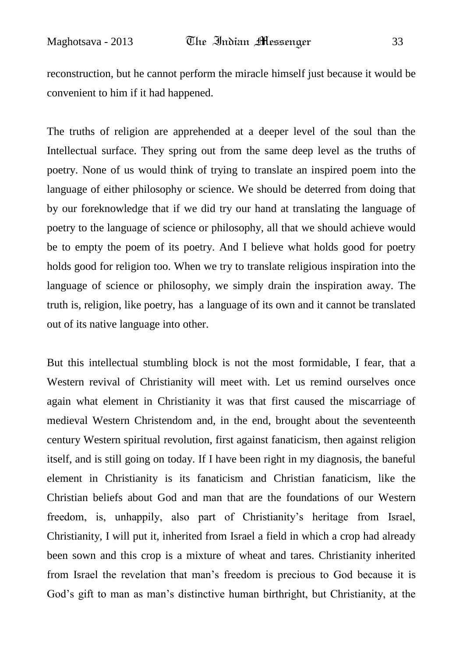reconstruction, but he cannot perform the miracle himself just because it would be convenient to him if it had happened.

The truths of religion are apprehended at a deeper level of the soul than the Intellectual surface. They spring out from the same deep level as the truths of poetry. None of us would think of trying to translate an inspired poem into the language of either philosophy or science. We should be deterred from doing that by our foreknowledge that if we did try our hand at translating the language of poetry to the language of science or philosophy, all that we should achieve would be to empty the poem of its poetry. And I believe what holds good for poetry holds good for religion too. When we try to translate religious inspiration into the language of science or philosophy, we simply drain the inspiration away. The truth is, religion, like poetry, has a language of its own and it cannot be translated out of its native language into other.

But this intellectual stumbling block is not the most formidable, I fear, that a Western revival of Christianity will meet with. Let us remind ourselves once again what element in Christianity it was that first caused the miscarriage of medieval Western Christendom and, in the end, brought about the seventeenth century Western spiritual revolution, first against fanaticism, then against religion itself, and is still going on today. If I have been right in my diagnosis, the baneful element in Christianity is its fanaticism and Christian fanaticism, like the Christian beliefs about God and man that are the foundations of our Western freedom, is, unhappily, also part of Christianity"s heritage from Israel, Christianity, I will put it, inherited from Israel a field in which a crop had already been sown and this crop is a mixture of wheat and tares. Christianity inherited from Israel the revelation that man"s freedom is precious to God because it is God's gift to man as man's distinctive human birthright, but Christianity, at the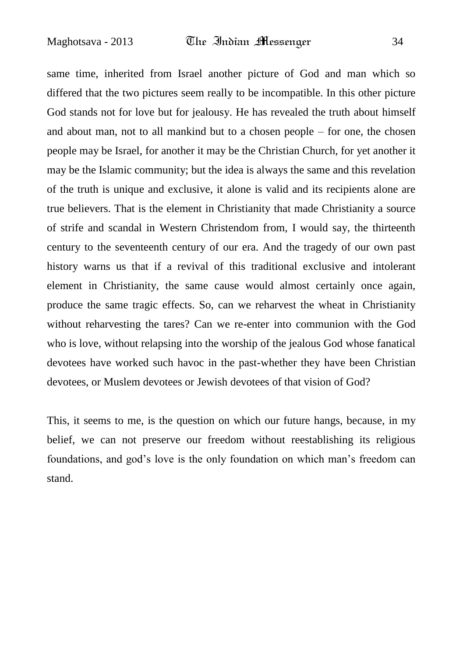same time, inherited from Israel another picture of God and man which so differed that the two pictures seem really to be incompatible. In this other picture God stands not for love but for jealousy. He has revealed the truth about himself and about man, not to all mankind but to a chosen people – for one, the chosen people may be Israel, for another it may be the Christian Church, for yet another it may be the Islamic community; but the idea is always the same and this revelation of the truth is unique and exclusive, it alone is valid and its recipients alone are true believers. That is the element in Christianity that made Christianity a source of strife and scandal in Western Christendom from, I would say, the thirteenth century to the seventeenth century of our era. And the tragedy of our own past history warns us that if a revival of this traditional exclusive and intolerant element in Christianity, the same cause would almost certainly once again, produce the same tragic effects. So, can we reharvest the wheat in Christianity without reharvesting the tares? Can we re-enter into communion with the God who is love, without relapsing into the worship of the jealous God whose fanatical devotees have worked such havoc in the past-whether they have been Christian devotees, or Muslem devotees or Jewish devotees of that vision of God?

This, it seems to me, is the question on which our future hangs, because, in my belief, we can not preserve our freedom without reestablishing its religious foundations, and god"s love is the only foundation on which man"s freedom can stand.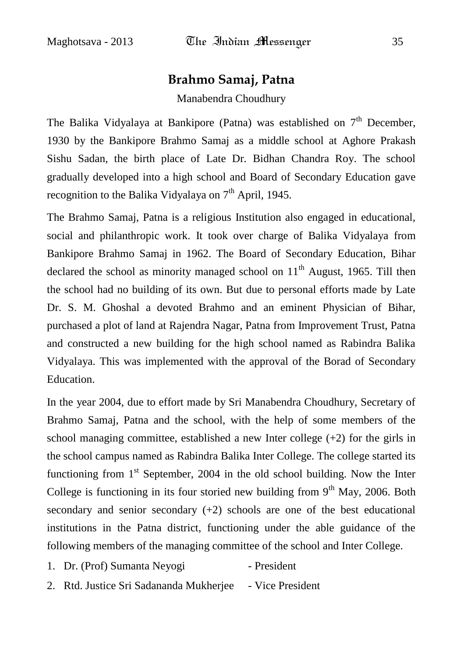### **Brahmo Samaj, Patna**

Manabendra Choudhury

The Balika Vidyalaya at Bankipore (Patna) was established on  $7<sup>th</sup>$  December, 1930 by the Bankipore Brahmo Samaj as a middle school at Aghore Prakash Sishu Sadan, the birth place of Late Dr. Bidhan Chandra Roy. The school gradually developed into a high school and Board of Secondary Education gave recognition to the Balika Vidyalaya on 7<sup>th</sup> April, 1945.

The Brahmo Samaj, Patna is a religious Institution also engaged in educational, social and philanthropic work. It took over charge of Balika Vidyalaya from Bankipore Brahmo Samaj in 1962. The Board of Secondary Education, Bihar declared the school as minority managed school on  $11<sup>th</sup>$  August, 1965. Till then the school had no building of its own. But due to personal efforts made by Late Dr. S. M. Ghoshal a devoted Brahmo and an eminent Physician of Bihar, purchased a plot of land at Rajendra Nagar, Patna from Improvement Trust, Patna and constructed a new building for the high school named as Rabindra Balika Vidyalaya. This was implemented with the approval of the Borad of Secondary Education.

In the year 2004, due to effort made by Sri Manabendra Choudhury, Secretary of Brahmo Samaj, Patna and the school, with the help of some members of the school managing committee, established a new Inter college  $(+2)$  for the girls in the school campus named as Rabindra Balika Inter College. The college started its functioning from  $1<sup>st</sup>$  September, 2004 in the old school building. Now the Inter College is functioning in its four storied new building from  $9<sup>th</sup>$  May, 2006. Both secondary and senior secondary (+2) schools are one of the best educational institutions in the Patna district, functioning under the able guidance of the following members of the managing committee of the school and Inter College.

- 1. Dr. (Prof) Sumanta Neyogi President
- 2. Rtd. Justice Sri Sadananda Mukherjee Vice President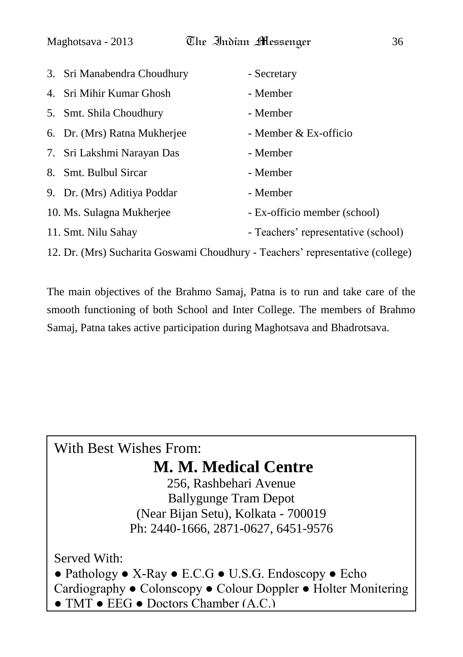|                                                                                | 3. Sri Manabendra Choudhury  | - Secretary                         |
|--------------------------------------------------------------------------------|------------------------------|-------------------------------------|
|                                                                                | 4. Sri Mihir Kumar Ghosh     | - Member                            |
|                                                                                | 5. Smt. Shila Choudhury      | - Member                            |
|                                                                                | 6. Dr. (Mrs) Ratna Mukherjee | - Member & Ex-officio               |
|                                                                                | 7. Sri Lakshmi Narayan Das   | - Member                            |
|                                                                                | 8. Smt. Bulbul Sircar        | - Member                            |
|                                                                                | 9. Dr. (Mrs) Aditiya Poddar  | - Member                            |
|                                                                                | 10. Ms. Sulagna Mukherjee    | - Ex-officio member (school)        |
|                                                                                | 11. Smt. Nilu Sahay          | - Teachers' representative (school) |
| 12. Dr. (Mrs) Sucharita Goswami Choudhury - Teachers' representative (college) |                              |                                     |

The main objectives of the Brahmo Samaj, Patna is to run and take care of the smooth functioning of both School and Inter College. The members of Brahmo Samaj, Patna takes active participation during Maghotsava and Bhadrotsava.

### With Best Wishes From: **M. M. Medical Centre**

256, Rashbehari Avenue Ballygunge Tram Depot (Near Bijan Setu), Kolkata - 700019 Ph: 2440-1666, 2871-0627, 6451-9576

Served With: ● Pathology ● X-Ray ● E.C.G ● U.S.G. Endoscopy ● Echo Cardiography ● Colonscopy ● Colour Doppler ● Holter Monitering ● TMT ● EEG ● Doctors Chamber (A.C.)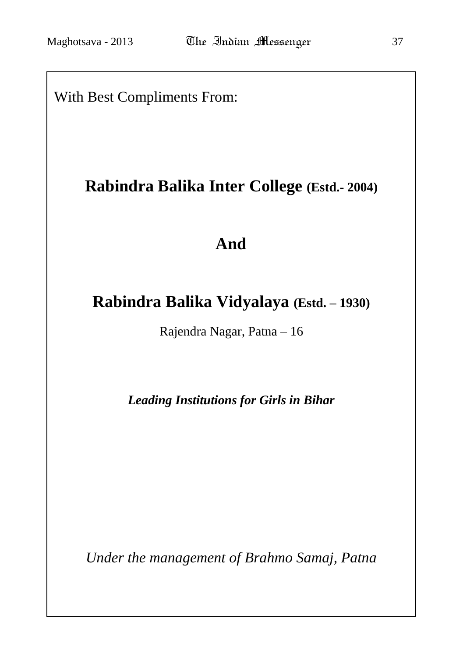With Best Compliments From:

## **Rabindra Balika Inter College (Estd.- 2004)**

## **And**

## **Rabindra Balika Vidyalaya (Estd. – 1930)**

Rajendra Nagar, Patna – 16

*Leading Institutions for Girls in Bihar*

*Under the management of Brahmo Samaj, Patna*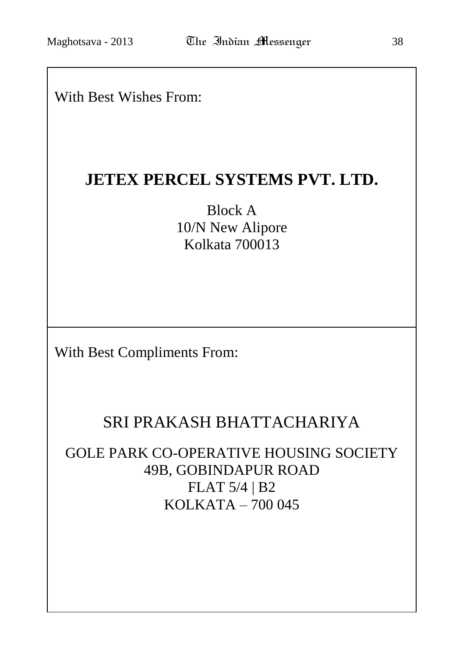### With Best Wishes From:

### **JETEX PERCEL SYSTEMS PVT. LTD.**

Block A 10/N New Alipore Kolkata 700013

With Best Compliments From:

## SRI PRAKASH BHATTACHARIYA

GOLE PARK CO-OPERATIVE HOUSING SOCIETY 49B, GOBINDAPUR ROAD FLAT 5/4 | B2 KOLKATA – 700 045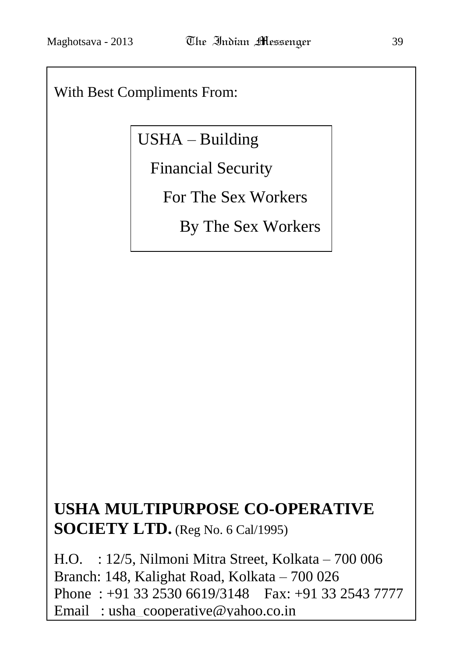### With Best Compliments From:

## USHA – Building

Financial Security

For The Sex Workers

By The Sex Workers

# **USHA MULTIPURPOSE CO-OPERATIVE SOCIETY LTD.** (Reg No. 6 Cal/1995)

H.O. : 12/5, Nilmoni Mitra Street, Kolkata – 700 006 Branch: 148, Kalighat Road, Kolkata – 700 026 Phone : +91 33 2530 6619/3148 Fax: +91 33 2543 7777 Email : usha\_cooperative@yahoo.co.in